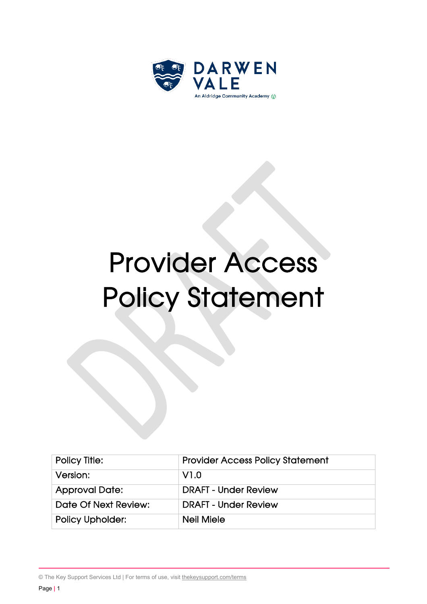

# Provider Access Policy Statement

| Policy Title:           | <b>Provider Access Policy Statement</b> |
|-------------------------|-----------------------------------------|
| Version:                | V1.0                                    |
| <b>Approval Date:</b>   | <b>DRAFT - Under Review</b>             |
| Date Of Next Review:    | <b>DRAFT - Under Review</b>             |
| <b>Policy Upholder:</b> | <b>Neil Miele</b>                       |

© The Key Support Services Ltd | For terms of use, visit [thekeysupport.com/terms](https://thekeysupport.com/terms-of-use)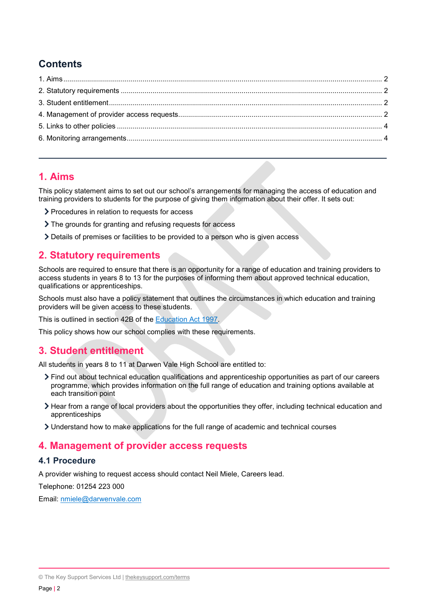# **Contents**

#### <span id="page-1-0"></span>**1. Aims**

This policy statement aims to set out our school's arrangements for managing the access of education and training providers to students for the purpose of giving them information about their offer. It sets out:

- > Procedures in relation to requests for access
- The grounds for granting and refusing requests for access
- Details of premises or facilities to be provided to a person who is given access

#### <span id="page-1-1"></span>**2. Statutory requirements**

Schools are required to ensure that there is an opportunity for a range of education and training providers to access students in years 8 to 13 for the purposes of informing them about approved technical education, qualifications or apprenticeships.

Schools must also have a policy statement that outlines the circumstances in which education and training providers will be given access to these students.

This is outlined in section 42B of the **Education Act 1997.** 

This policy shows how our school complies with these requirements.

### <span id="page-1-2"></span>**3. Student entitlement**

All students in years 8 to 11 at Darwen Vale High School are entitled to:

- Find out about technical education qualifications and apprenticeship opportunities as part of our careers programme, which provides information on the full range of education and training options available at each transition point
- Hear from a range of local providers about the opportunities they offer, including technical education and apprenticeships
- Understand how to make applications for the full range of academic and technical courses

### <span id="page-1-3"></span>**4. Management of provider access requests**

#### **4.1 Procedure**

A provider wishing to request access should contact Neil Miele, Careers lead.

Telephone: 01254 223 000

Email: [nmiele@darwenvale.com](mailto:nmiele@darwenvale.com)

<sup>©</sup> The Key Support Services Ltd | [thekeysupport.com/terms](https://thekeysupport.com/terms-of-use)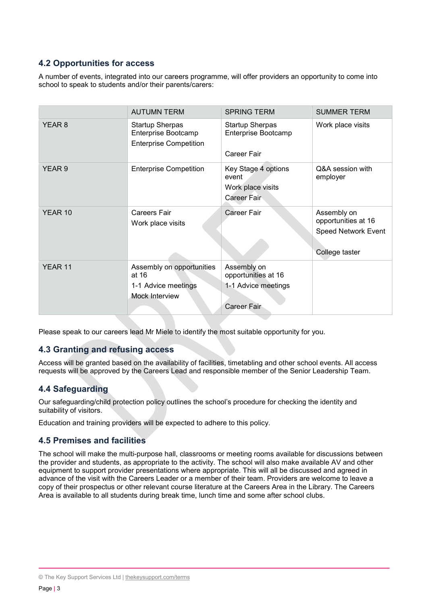#### **4.2 Opportunities for access**

A number of events, integrated into our careers programme, will offer providers an opportunity to come into school to speak to students and/or their parents/carers:

|         | <b>AUTUMN TERM</b>                                                             | <b>SPRING TERM</b>                                                       | <b>SUMMER TERM</b>                                                                 |
|---------|--------------------------------------------------------------------------------|--------------------------------------------------------------------------|------------------------------------------------------------------------------------|
| YEAR 8  | <b>Startup Sherpas</b><br>Enterprise Bootcamp<br><b>Enterprise Competition</b> | <b>Startup Sherpas</b><br>Enterprise Bootcamp<br>Career Fair             | Work place visits                                                                  |
| YEAR 9  | <b>Enterprise Competition</b>                                                  | Key Stage 4 options<br>event<br>Work place visits<br>Career Fair         | Q&A session with<br>employer                                                       |
| YEAR 10 | Careers Fair<br>Work place visits                                              | <b>Career Fair</b>                                                       | Assembly on<br>opportunities at 16<br><b>Speed Network Event</b><br>College taster |
| YEAR 11 | Assembly on opportunities<br>at 16<br>1-1 Advice meetings<br>Mock Interview    | Assembly on<br>opportunities at 16<br>1-1 Advice meetings<br>Career Fair |                                                                                    |

Please speak to our careers lead Mr Miele to identify the most suitable opportunity for you.

#### **4.3 Granting and refusing access**

Access will be granted based on the availability of facilities, timetabling and other school events. All access requests will be approved by the Careers Lead and responsible member of the Senior Leadership Team.

#### **4.4 Safeguarding**

Our safeguarding/child protection policy outlines the school's procedure for checking the identity and suitability of visitors.

Education and training providers will be expected to adhere to this policy.

#### **4.5 Premises and facilities**

The school will make the multi-purpose hall, classrooms or meeting rooms available for discussions between the provider and students, as appropriate to the activity. The school will also make available AV and other equipment to support provider presentations where appropriate. This will all be discussed and agreed in advance of the visit with the Careers Leader or a member of their team. Providers are welcome to leave a copy of their prospectus or other relevant course literature at the Careers Area in the Library. The Careers Area is available to all students during break time, lunch time and some after school clubs.